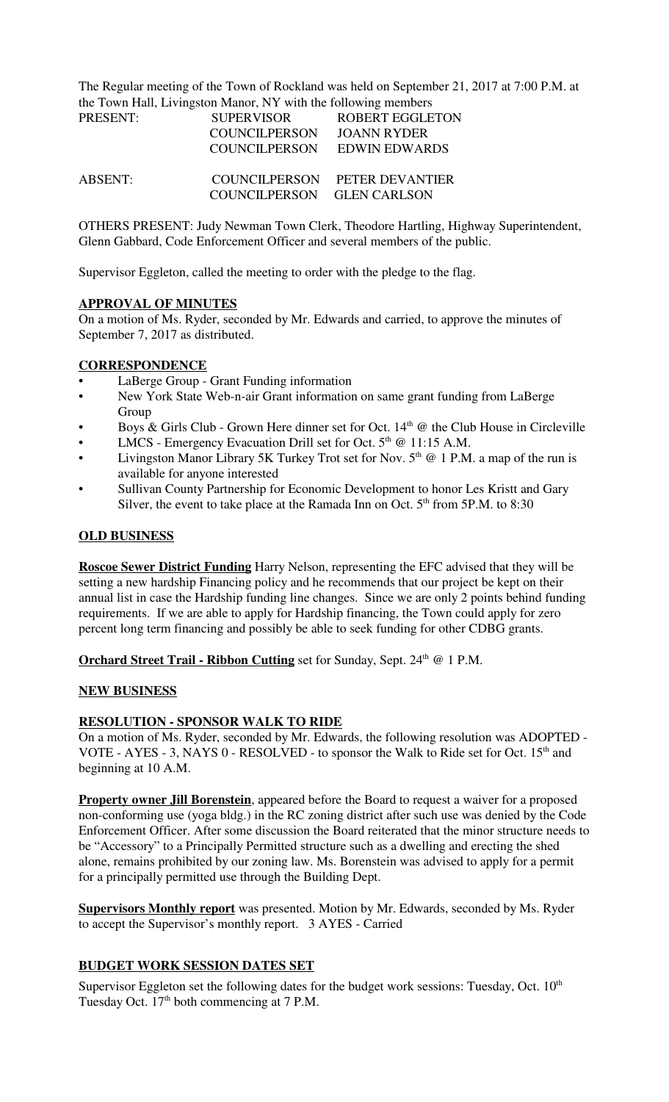The Regular meeting of the Town of Rockland was held on September 21, 2017 at 7:00 P.M. at the Town Hall, Livingston Manor, NY with the following members

| PRESENT: | <b>SUPERVISOR</b>          | <b>ROBERT EGGLETON</b>        |
|----------|----------------------------|-------------------------------|
|          | <b>COUNCILPERSON</b>       | JOANN RYDER                   |
|          | COUNCILPERSON              | EDWIN EDWARDS                 |
| ABSENT:  | COUNCILPERSON GLEN CARLSON | COUNCILPERSON PETER DEVANTIER |

OTHERS PRESENT: Judy Newman Town Clerk, Theodore Hartling, Highway Superintendent, Glenn Gabbard, Code Enforcement Officer and several members of the public.

Supervisor Eggleton, called the meeting to order with the pledge to the flag.

### **APPROVAL OF MINUTES**

On a motion of Ms. Ryder, seconded by Mr. Edwards and carried, to approve the minutes of September 7, 2017 as distributed.

#### **CORRESPONDENCE**

- LaBerge Group Grant Funding information
- New York State Web-n-air Grant information on same grant funding from LaBerge Group
- Boys & Girls Club Grown Here dinner set for Oct.  $14<sup>th</sup>$  @ the Club House in Circleville
- LMCS Emergency Evacuation Drill set for Oct.  $5<sup>th</sup>$  @ 11:15 A.M.
- Livingston Manor Library 5K Turkey Trot set for Nov.  $5<sup>th</sup>$  @ 1 P.M. a map of the run is available for anyone interested
- Sullivan County Partnership for Economic Development to honor Les Kristt and Gary Silver, the event to take place at the Ramada Inn on Oct.  $5<sup>th</sup>$  from  $5P.M.$  to  $8:30$

### **OLD BUSINESS**

**Roscoe Sewer District Funding** Harry Nelson, representing the EFC advised that they will be setting a new hardship Financing policy and he recommends that our project be kept on their annual list in case the Hardship funding line changes. Since we are only 2 points behind funding requirements. If we are able to apply for Hardship financing, the Town could apply for zero percent long term financing and possibly be able to seek funding for other CDBG grants.

**Orchard Street Trail - Ribbon Cutting** set for Sunday, Sept. 24<sup>th</sup> @ 1 P.M.

### **NEW BUSINESS**

### **RESOLUTION - SPONSOR WALK TO RIDE**

On a motion of Ms. Ryder, seconded by Mr. Edwards, the following resolution was ADOPTED - VOTE - AYES - 3, NAYS  $0$  - RESOLVED - to sponsor the Walk to Ride set for Oct. 15<sup>th</sup> and beginning at 10 A.M.

**Property owner Jill Borenstein**, appeared before the Board to request a waiver for a proposed non-conforming use (yoga bldg.) in the RC zoning district after such use was denied by the Code Enforcement Officer. After some discussion the Board reiterated that the minor structure needs to be "Accessory" to a Principally Permitted structure such as a dwelling and erecting the shed alone, remains prohibited by our zoning law. Ms. Borenstein was advised to apply for a permit for a principally permitted use through the Building Dept.

**Supervisors Monthly report** was presented. Motion by Mr. Edwards, seconded by Ms. Ryder to accept the Supervisor's monthly report. 3 AYES - Carried

### **BUDGET WORK SESSION DATES SET**

Supervisor Eggleton set the following dates for the budget work sessions: Tuesday, Oct.  $10<sup>th</sup>$ Tuesday Oct. 17th both commencing at 7 P.M.